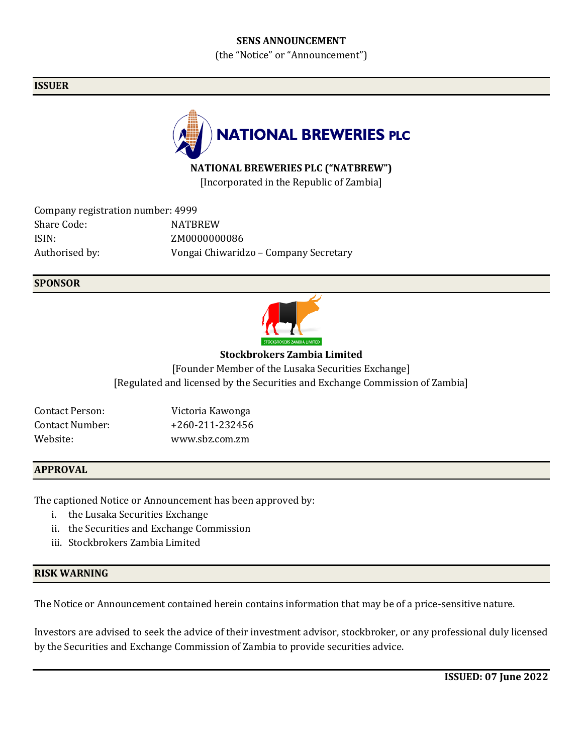## **SENS ANNOUNCEMENT**

(the "Notice" or "Announcement")

## **ISSUER**



## **NATIONAL BREWERIES PLC ("NATBREW")**

[Incorporated in the Republic of Zambia]

| Company registration number: 4999 |                                       |
|-----------------------------------|---------------------------------------|
| Share Code:                       | <b>NATRREW</b>                        |
| ISIN:                             | ZM0000000086                          |
| Authorised by:                    | Vongai Chiwaridzo - Company Secretary |

## **SPONSOR**



## **Stockbrokers Zambia Limited**

[Founder Member of the Lusaka Securities Exchange] [Regulated and licensed by the Securities and Exchange Commission of Zambia]

| Contact Person: | Victoria Kawonga |
|-----------------|------------------|
| Contact Number: | +260-211-232456  |
| Website:        | www.sbz.com.zm   |

## **APPROVAL**

The captioned Notice or Announcement has been approved by:

- i. the Lusaka Securities Exchange
- ii. the Securities and Exchange Commission
- iii. Stockbrokers Zambia Limited

### **RISK WARNING**

The Notice or Announcement contained herein contains information that may be of a price-sensitive nature.

Investors are advised to seek the advice of their investment advisor, stockbroker, or any professional duly licensed by the Securities and Exchange Commission of Zambia to provide securities advice.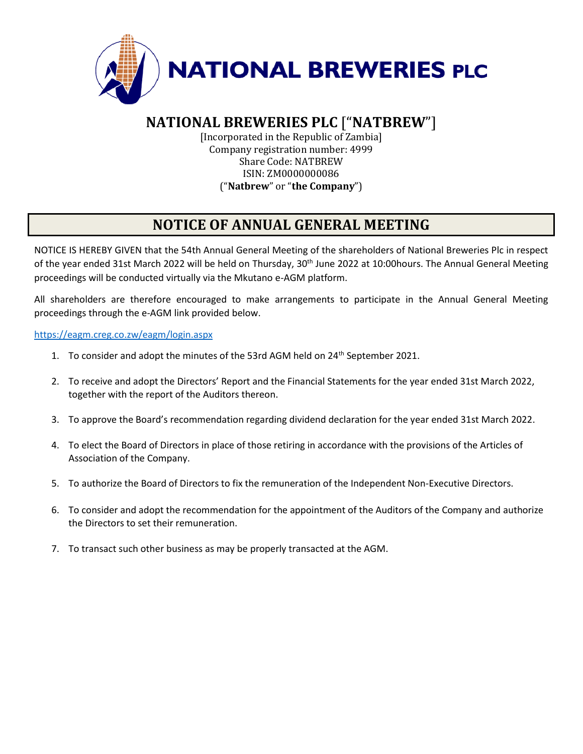

# **NATIONAL BREWERIES PLC** ["**NATBREW**"]

[Incorporated in the Republic of Zambia] Company registration number: 4999 Share Code: NATBREW ISIN: ZM0000000086 ("**Natbrew**" or "**the Company**")

# **NOTICE OF ANNUAL GENERAL MEETING**

NOTICE IS HEREBY GIVEN that the 54th Annual General Meeting of the shareholders of National Breweries Plc in respect of the year ended 31st March 2022 will be held on Thursday, 30<sup>th</sup> June 2022 at 10:00hours. The Annual General Meeting proceedings will be conducted virtually via the Mkutano e-AGM platform.

All shareholders are therefore encouraged to make arrangements to participate in the Annual General Meeting proceedings through the e-AGM link provided below.

<https://eagm.creg.co.zw/eagm/login.aspx>

- 1. To consider and adopt the minutes of the 53rd AGM held on 24<sup>th</sup> September 2021.
- 2. To receive and adopt the Directors' Report and the Financial Statements for the year ended 31st March 2022, together with the report of the Auditors thereon.
- 3. To approve the Board's recommendation regarding dividend declaration for the year ended 31st March 2022.
- 4. To elect the Board of Directors in place of those retiring in accordance with the provisions of the Articles of Association of the Company.
- 5. To authorize the Board of Directors to fix the remuneration of the Independent Non-Executive Directors.
- 6. To consider and adopt the recommendation for the appointment of the Auditors of the Company and authorize the Directors to set their remuneration.
- 7. To transact such other business as may be properly transacted at the AGM.